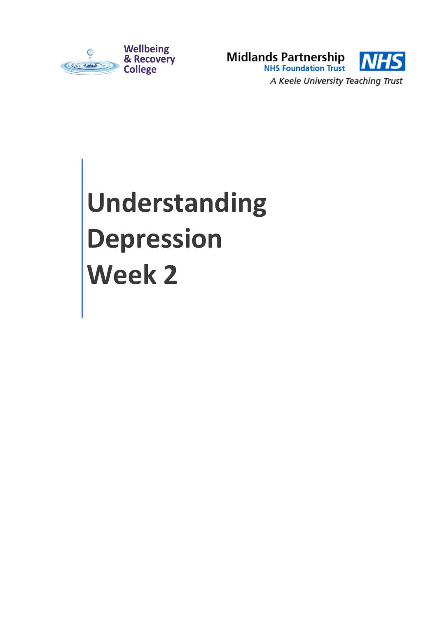



# **Understanding Depression Week 2**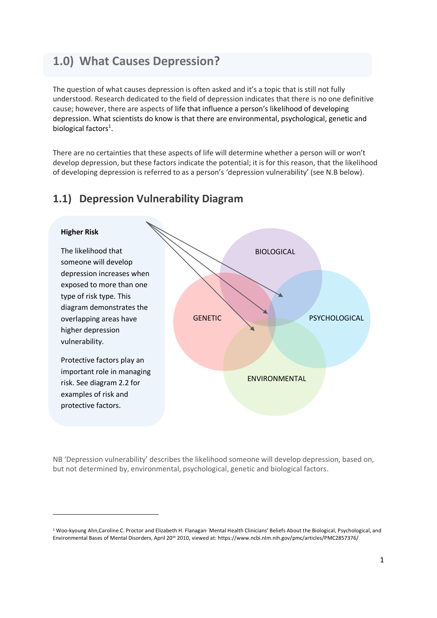## **1.0) What Causes Depression?**

The question of what causes depression is often asked and it's a topic that is still not fully understood. Research dedicated to the field of depression indicates that there is no one definitive cause; however, there are aspects of life that influence a person's likelihood of developing depression. What scientists do know is that there are environmental, psychological, genetic and biological factors<sup>1</sup>.

There are no certainties that these aspects of life will determine whether a person will or won't develop depression, but these factors indicate the potential; it is for this reason, that the likelihood of developing depression is referred to as a person's 'depression vulnerability' (see N.B below).

#### **1.1) Depression Vulnerability Diagram**

1



NB 'Depression vulnerability' describes the likelihood someone will develop depression, based on, but not determined by, environmental, psychological, genetic and biological factors.

<sup>&</sup>lt;sup>1</sup> [Woo-kyoung Ahn,](https://www.ncbi.nlm.nih.gov/pubmed/?term=Ahn%20Wk%5BAuthor%5D&cauthor=true&cauthor_uid=20411158)[Caroline C. Proctor](https://www.ncbi.nlm.nih.gov/pubmed/?term=Proctor%20CC%5BAuthor%5D&cauthor=true&cauthor_uid=20411158) and [Elizabeth H. Flanagan](https://www.ncbi.nlm.nih.gov/pubmed/?term=Flanagan%20EH%5BAuthor%5D&cauthor=true&cauthor_uid=20411158)<sup>;</sup> 'Mental Health Clinicians' Beliefs About the Biological, Psychological, and Environmental Bases of Mental Disorders, April 20th 2010, viewed at: <https://www.ncbi.nlm.nih.gov/pmc/articles/PMC2857376/>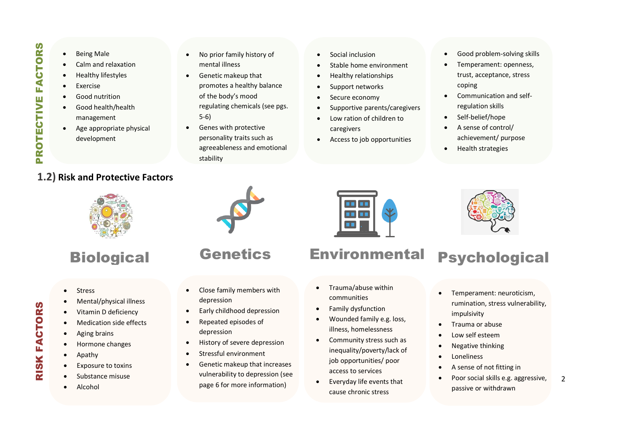- Being Male
- Calm and relaxation
- Healthy lifestyles
- Exercise
- Good nutrition
- Good health/health management
- Age appropriate physical development

#### **1.2) Risk and Protective Factors**

- No prior family history of mental illness
- Genetic makeup that promotes a healthy balance of the body's mood regulating chemicals (see pgs. 5-6)
- Genes with protective personality traits such as agreeableness and emotional stability
- Social inclusion
- Stable home environment
- Healthy relationships
- Support networks
- Secure economy
- Supportive parents/caregivers
- Low ration of children to caregivers
- Access to job opportunities
- Good problem-solving skills
- Temperament: openness, trust, acceptance, stress coping
- Communication and selfregulation skills
- Self-belief/hope
- A sense of control/ achievement/ purpose
- Health strategies



# **Biological**

- Stress
- Mental/physical illness
- Vitamin D deficiency
- Medication side effects
- Aging brains
- Hormone changes
- Apathy

RISK FACTORS

**RISK FACTORS** 

- Exposure to toxins
- Substance misuse
- Alcohol

## **Genetics**

- Close family members with depression
- Early childhood depression
- Repeated episodes of depression
- **•** History of severe depression
- Stressful environment
- Genetic makeup that increases vulnerability to depression (see page 6 for more information)

# Environmental

n n

- Trauma/abuse within communities
- Family dysfunction
- Wounded family e.g. loss, illness, homelessness
- Community stress such as inequality/poverty/lack of job opportunities/ poor access to services
- Everyday life events that cause chronic stress



# Psychological

- **•** Temperament: neuroticism, rumination, stress vulnerability, impulsivity<br>impulsivity
- **•** Trauma or abuse
- Low self esteem
- Negative thinking
- **Loneliness**
- A sense of not fitting in
- $\overline{2}$  Poor social skills e.g. aggressive, passive or withdrawn

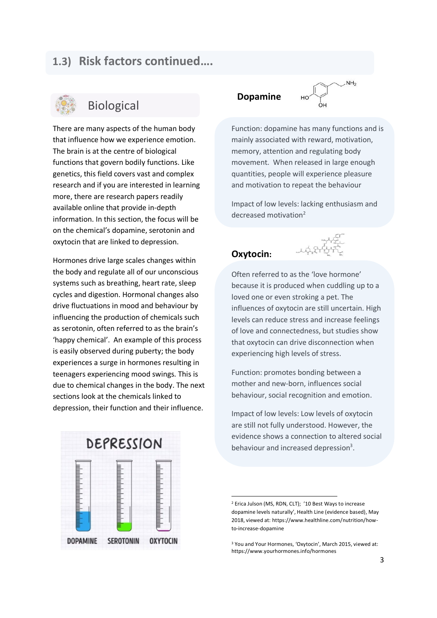### **1.3) Risk factors continued….**



## Biological

There are many aspects of the human body that influence how we experience emotion. The brain is at the centre of biological functions that govern bodily functions. Like genetics, this field covers vast and complex research and if you are interested in learning more, there are research papers readily available online that provide in-depth information. In this section, the focus will be on the chemical's dopamine, serotonin and oxytocin that are linked to depression.

Hormones drive large scales changes within the body and regulate all of our unconscious systems such as breathing, heart rate, sleep cycles and digestion. Hormonal changes also drive fluctuations in mood and behaviour by influencing the production of chemicals such as serotonin, often referred to as the brain's 'happy chemical'. An example of this process is easily observed during puberty; the body experiences a surge in hormones resulting in teenagers experiencing mood swings. This is due to chemical changes in the body. The next sections look at the chemicals linked to depression, their function and their influence.

#### **Dopamine**

 $NH<sub>2</sub>$ 

Function: dopamine has many functions and is mainly associated with reward, motivation, memory, attention and regulating body movement. When released in large enough quantities, people will experience pleasure and motivation to repeat the behaviour

Impact of low levels: lacking enthusiasm and decreased motivation<sup>2</sup>

#### **Oxytocin:**

1



Often referred to as the 'love hormone' because it is produced when cuddling up to a loved one or even stroking a pet. The influences of oxytocin are still uncertain. High levels can reduce stress and increase feelings of love and connectedness, but studies show that oxytocin can drive disconnection when experiencing high levels of stress.

Function: promotes bonding between a mother and new-born, influences social behaviour, social recognition and emotion.

Impact of low levels: Low levels of oxytocin are still not fully understood. However, the evidence shows a connection to altered social behaviour and increased depression<sup>3</sup>.



<sup>2</sup> Erica Julson (MS, RDN, CLT); '10 Best Ways to increase dopamine levels naturally', Health Line (evidence based), May 2018, viewed at: [https://www.healthline.com/nutrition/how](https://www.healthline.com/nutrition/how-to-increase-dopamine)[to-increase-dopamine](https://www.healthline.com/nutrition/how-to-increase-dopamine)

<sup>3</sup> You and Your Hormones, 'Oxytocin', March 2015, viewed at: https://www.yourhormones.info/hormones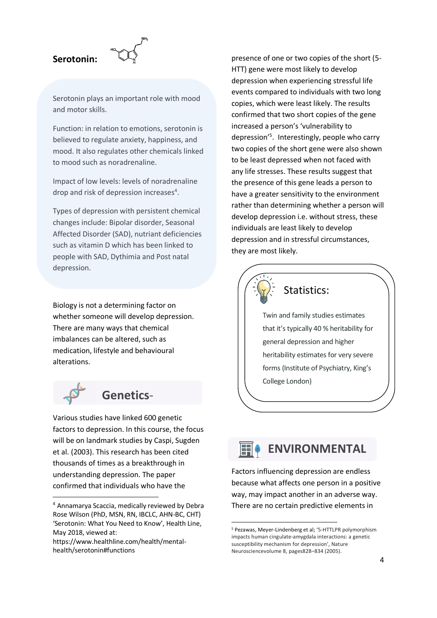

Serotonin plays an important role with mood and motor skills.

Function: in relation to emotions, serotonin is believed to regulate anxiety, happiness, and mood. It also regulates other chemicals linked to mood such as noradrenaline.

Impact of low levels: levels of noradrenaline drop and risk of depression increases<sup>4</sup>.

Types of depression with persistent chemical changes include: Bipolar disorder, Seasonal Affected Disorder (SAD), nutriant deficiencies such as vitamin D which has been linked to people with SAD, Dythimia and Post natal depression.

Biology is not a determining factor on whether someone will develop depression. There are many ways that chemical imbalances can be altered, such as medication, lifestyle and behavioural alterations.



-

## **Genetics**-

Various studies have linked 600 genetic factors to depression. In this course, the focus will be on landmark studies by Caspi, Sugden et al. (2003). This research has been cited thousands of times as a breakthrough in understanding depression. The paper confirmed that individuals who have the

presence of one or two copies of the short (5- HTT) gene were most likely to develop depression when experiencing stressful life events compared to individuals with two long copies, which were least likely. The results confirmed that two short copies of the gene increased a person's 'vulnerability to depression'<sup>5</sup> . Interestingly, people who carry two copies of the short gene were also shown to be least depressed when not faced with any life stresses. These results suggest that the presence of this gene leads a person to have a greater sensitivity to the environment rather than determining whether a person will develop depression i.e. without stress, these individuals are least likely to develop depression and in stressful circumstances, they are most likely.



#### Statistics:

Twin and family studies estimates that it's typically 40 % heritability for general depression and higher heritability estimates for very severe forms (Institute of Psychiatry, King's College London)

# **ENVIRONMENTAL**

Factors influencing depression are endless because what affects one person in a positive way, may impact another in an adverse way. There are no certain predictive elements in

1

<sup>4</sup> Annamarya Scaccia, medically reviewed by Debra Rose Wilson (PhD, MSN, RN, IBCLC, AHN-BC, CHT) 'Serotonin: What You Need to Know', Health Line, May 2018, viewed at:

https://www.healthline.com/health/mentalhealth/serotonin#functions

<sup>5</sup> Pezawas, Meyer-Lindenberg et al; '5-HTTLPR polymorphism impacts human cingulate-amygdala interactions: a genetic susceptibility mechanism for depression', Nature Neurosciencevolume 8, pages828–834 (2005).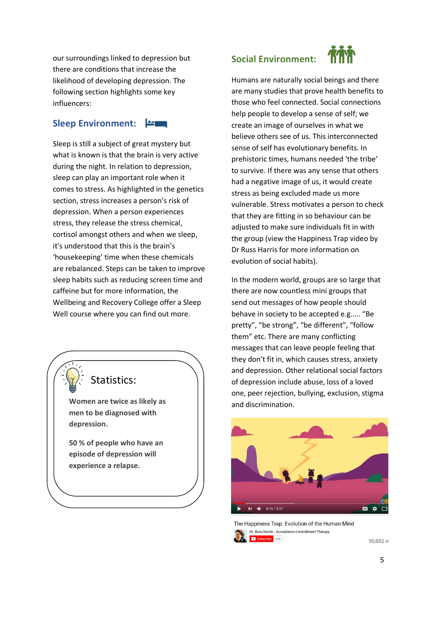our surroundings linked to depression but there are conditions that increase the likelihood of developing depression. The following section highlights some key influencers:

#### **Sleep Environment:**

Sleep is still a subject of great mystery but what is known is that the brain is very active during the night. In relation to depression, sleep can play an important role when it comes to stress. As highlighted in the genetics section, stress increases a person's risk of depression. When a person experiences stress, they release the stress chemical, cortisol amongst others and when we sleep, it's understood that this is the brain's 'housekeeping' time when these chemicals are rebalanced. Steps can be taken to improve sleep habits such as reducing screen time and caffeine but for more information, the Wellbeing and Recovery College offer a Sleep Well course where you can find out more.

## Statistics:

**Women are twice as likely as men to be diagnosed with depression.**

**50 % of people who have an episode of depression will experience a relapse.**

#### **Social Environment:**



Humans are naturally social beings and there are many studies that prove health benefits to those who feel connected. Social connections help people to develop a sense of self; we create an image of ourselves in what we believe others see of us. This interconnected sense of self has evolutionary benefits. In prehistoric times, humans needed 'the tribe' to survive. If there was any sense that others had a negative image of us, it would create stress as being excluded made us more vulnerable. Stress motivates a person to check that they are fitting in so behaviour can be adjusted to make sure individuals fit in with the group (view the Happiness Trap video by Dr Russ Harris for more information on evolution of social habits).

In the modern world, groups are so large that there are now countless mini groups that send out messages of how people should behave in society to be accepted e.g.…. "Be pretty", "be strong", "be different", "follow them" etc. There are many conflicting messages that can leave people feeling that they don't fit in, which causes stress, anxiety and depression. Other relational social factors of depression include abuse, loss of a loved one, peer rejection, bullying, exclusion, stigma and discrimination.



The Happiness Trap: Evolution of the Human Mind Dr. Russ Harris - Acceptance Commitment Therapy Subscribe 19K

90.882 vi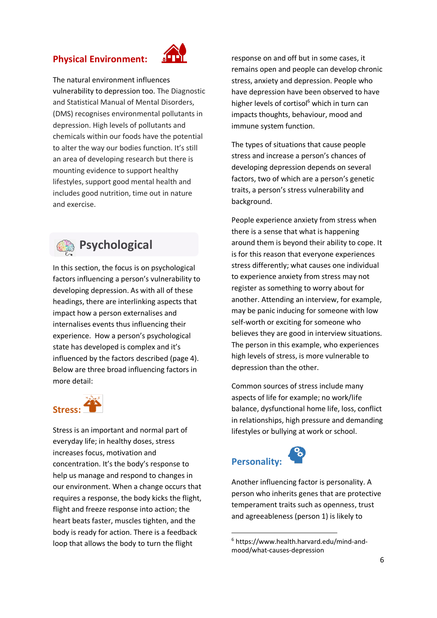#### **Physical Environment:**



The natural environment influences vulnerability to depression too. The Diagnostic and Statistical Manual of Mental Disorders, (DMS) recognises environmental pollutants in depression. High levels of pollutants and chemicals within our foods have the potential to alter the way our bodies function. It's still an area of developing research but there is mounting evidence to support healthy lifestyles, support good mental health and includes good nutrition, time out in nature and exercise.



## **Psychological**

In this section, the focus is on psychological factors influencing a person's vulnerability to developing depression. As with all of these headings, there are interlinking aspects that impact how a person externalises and internalises events thus influencing their experience. How a person's psychological state has developed is complex and it's influenced by the factors described (page 4). Below are three broad influencing factors in more detail:



Stress is an important and normal part of everyday life; in healthy doses, stress increases focus, motivation and concentration. It's the body's response to help us manage and respond to changes in our environment. When a change occurs that requires a response, the body kicks the flight, flight and freeze response into action; the heart beats faster, muscles tighten, and the body is ready for action. There is a feedback loop that allows the body to turn the flight

response on and off but in some cases, it remains open and people can develop chronic stress, anxiety and depression. People who have depression have been observed to have higher levels of cortisol<sup>6</sup> which in turn can impacts thoughts, behaviour, mood and immune system function.

The types of situations that cause people stress and increase a person's chances of developing depression depends on several factors, two of which are a person's genetic traits, a person's stress vulnerability and background.

People experience anxiety from stress when there is a sense that what is happening around them is beyond their ability to cope. It is for this reason that everyone experiences stress differently; what causes one individual to experience anxiety from stress may not register as something to worry about for another. Attending an interview, for example, may be panic inducing for someone with low self-worth or exciting for someone who believes they are good in interview situations. The person in this example, who experiences high levels of stress, is more vulnerable to depression than the other.

Common sources of stress include many aspects of life for example; no work/life balance, dysfunctional home life, loss, conflict in relationships, high pressure and demanding lifestyles or bullying at work or school.

# **Personality:**

1



<sup>6</sup> https://www.health.harvard.edu/mind-andmood/what-causes-depression